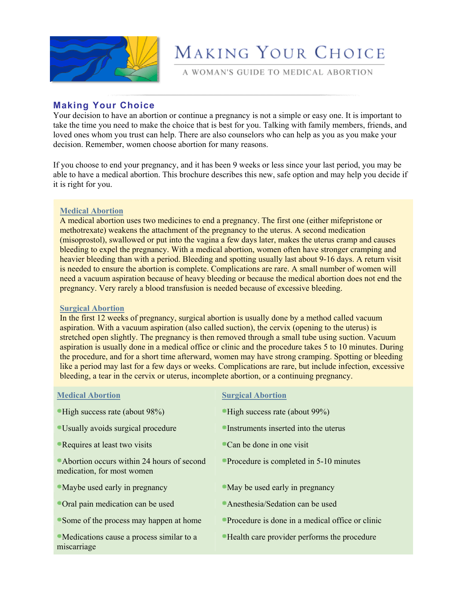

# MAKING YOUR CHOICE

A WOMAN'S GUIDE TO MEDICAL ABORTION

# **Making Your Choice**

Your decision to have an abortion or continue a pregnancy is not a simple or easy one. It is important to take the time you need to make the choice that is best for you. Talking with family members, friends, and loved ones whom you trust can help. There are also counselors who can help as you as you make your decision. Remember, women choose abortion for many reasons.

If you choose to end your pregnancy, and it has been 9 weeks or less since your last period, you may be able to have a medical abortion. This brochure describes this new, safe option and may help you decide if it is right for you.

### **Medical Abortion**

A medical abortion uses two medicines to end a pregnancy. The first one (either mifepristone or methotrexate) weakens the attachment of the pregnancy to the uterus. A second medication (misoprostol), swallowed or put into the vagina a few days later, makes the uterus cramp and causes bleeding to expel the pregnancy. With a medical abortion, women often have stronger cramping and heavier bleeding than with a period. Bleeding and spotting usually last about 9-16 days. A return visit is needed to ensure the abortion is complete. Complications are rare. A small number of women will need a vacuum aspiration because of heavy bleeding or because the medical abortion does not end the pregnancy. Very rarely a blood transfusion is needed because of excessive bleeding.

#### **Surgical Abortion**

In the first 12 weeks of pregnancy, surgical abortion is usually done by a method called vacuum aspiration. With a vacuum aspiration (also called suction), the cervix (opening to the uterus) is stretched open slightly. The pregnancy is then removed through a small tube using suction. Vacuum aspiration is usually done in a medical office or clinic and the procedure takes 5 to 10 minutes. During the procedure, and for a short time afterward, women may have strong cramping. Spotting or bleeding like a period may last for a few days or weeks. Complications are rare, but include infection, excessive bleeding, a tear in the cervix or uterus, incomplete abortion, or a continuing pregnancy.

| <b>Medical Abortion</b>                                                   | <b>Surgical Abortion</b>                          |
|---------------------------------------------------------------------------|---------------------------------------------------|
| • High success rate (about 98%)                                           | "High success rate (about 99%)                    |
| • Usually avoids surgical procedure                                       | Instruments inserted into the uterus              |
| Requires at least two visits                                              | Can be done in one visit                          |
| • Abortion occurs within 24 hours of second<br>medication, for most women | • Procedure is completed in 5-10 minutes          |
| • Maybe used early in pregnancy                                           | • May be used early in pregnancy                  |
| • Oral pain medication can be used                                        | Anesthesia/Sedation can be used                   |
| Some of the process may happen at home                                    | • Procedure is done in a medical office or clinic |
| • Medications cause a process similar to a<br>miscarriage                 | • Health care provider performs the procedure     |